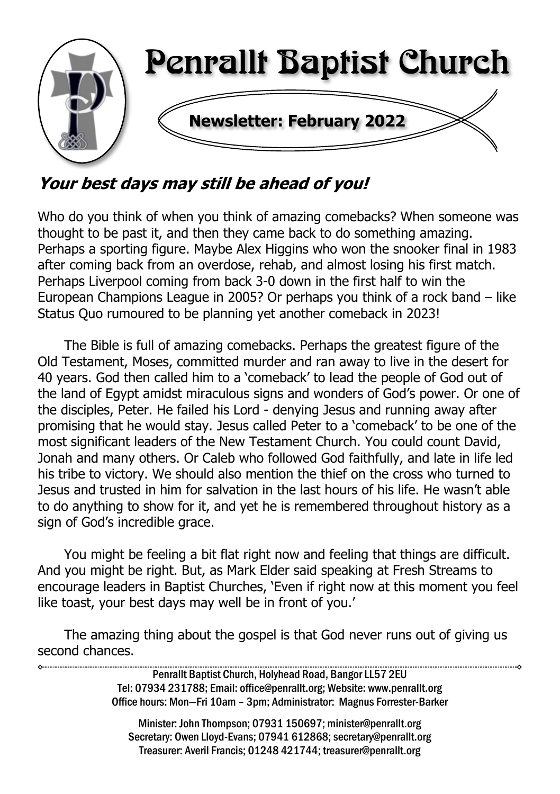

Your best days may still be ahead of you!

Who do you think of when you think of amazing comebacks? When someone was thought to be past it, and then they came back to do something amazing. Perhaps a sporting figure. Maybe Alex Higgins who won the snooker final in 1983 after coming back from an overdose, rehab, and almost losing his first match. Perhaps Liverpool coming from back 3-0 down in the first half to win the European Champions League in 2005? Or perhaps you think of a rock band – like Status Quo rumoured to be planning yet another comeback in 2023!

The Bible is full of amazing comebacks. Perhaps the greatest figure of the Old Testament, Moses, committed murder and ran away to live in the desert for 40 years. God then called him to a 'comeback' to lead the people of God out of the land of Egypt amidst miraculous signs and wonders of God's power. Or one of the disciples, Peter. He failed his Lord - denying Jesus and running away after promising that he would stay. Jesus called Peter to a 'comeback' to be one of the most significant leaders of the New Testament Church. You could count David, Jonah and many others. Or Caleb who followed God faithfully, and late in life led his tribe to victory. We should also mention the thief on the cross who turned to Jesus and trusted in him for salvation in the last hours of his life. He wasn't able to do anything to show for it, and yet he is remembered throughout history as a sign of God's incredible grace.

You might be feeling a bit flat right now and feeling that things are difficult. And you might be right. But, as Mark Elder said speaking at Fresh Streams to encourage leaders in Baptist Churches, 'Even if right now at this moment you feel like toast, your best days may well be in front of you.'

The amazing thing about the gospel is that God never runs out of giving us second chances.

> Penrallt Baptist Church, Holyhead Road, Bangor LL57 2EU Tel: 07934 231788; Email: office@penrallt.org; Website: www.penrallt.org Office hours: Mon—Fri 10am – 3pm; Administrator: Magnus Forrester-Barker

Minister: John Thompson; 07931 150697; minister@penrallt.org Secretary: Owen Lloyd-Evans; 07941 612868; secretary@penrallt.org Treasurer: Averil Francis; 01248 421744; treasurer@penrallt.org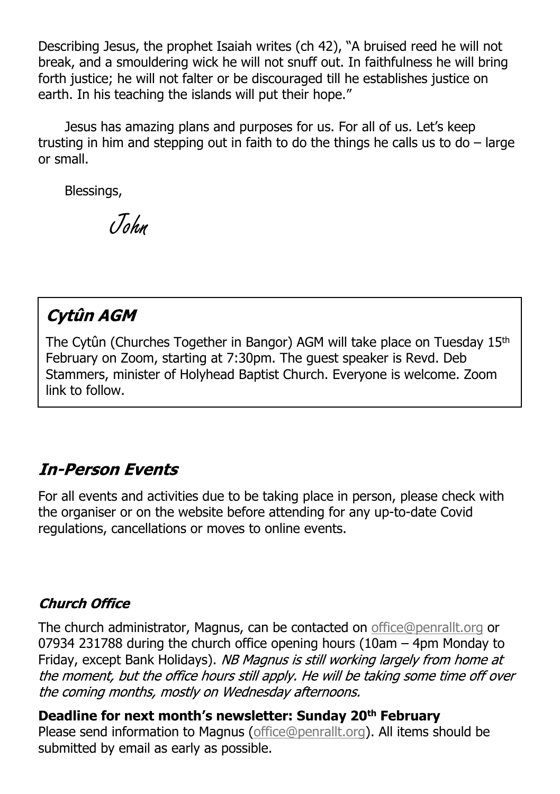Describing Jesus, the prophet Isaiah writes (ch 42), "A bruised reed he will not break, and a smouldering wick he will not snuff out. In faithfulness he will bring forth justice; he will not falter or be discouraged till he establishes justice on earth. In his teaching the islands will put their hope."

Jesus has amazing plans and purposes for us. For all of us. Let's keep trusting in him and stepping out in faith to do the things he calls us to do  $-$  large or small.

Blessings,

John

## Cytûn AGM

The Cytûn (Churches Together in Bangor) AGM will take place on Tuesday 15th February on Zoom, starting at 7:30pm. The guest speaker is Revd. Deb Stammers, minister of Holyhead Baptist Church. Everyone is welcome. Zoom link to follow.

### **In-Person Events**

For all events and activities due to be taking place in person, please check with the organiser or on the website before attending for any up-to-date Covid regulations, cancellations or moves to online events.

#### **Church Office**

The church administrator, Magnus, can be contacted on [office@penrallt.org](mailto:office@penrallt.org) or 07934 231788 during the church office opening hours (10am – 4pm Monday to Friday, except Bank Holidays). NB Magnus is still working largely from home at the moment, but the office hours still apply. He will be taking some time off over the coming months, mostly on Wednesday afternoons.

**Deadline for next month's newsletter: Sunday 20th February** Please send information to Magnus [\(office@penrallt.org\)](mailto:office@penrallt.org). All items should be submitted by email as early as possible.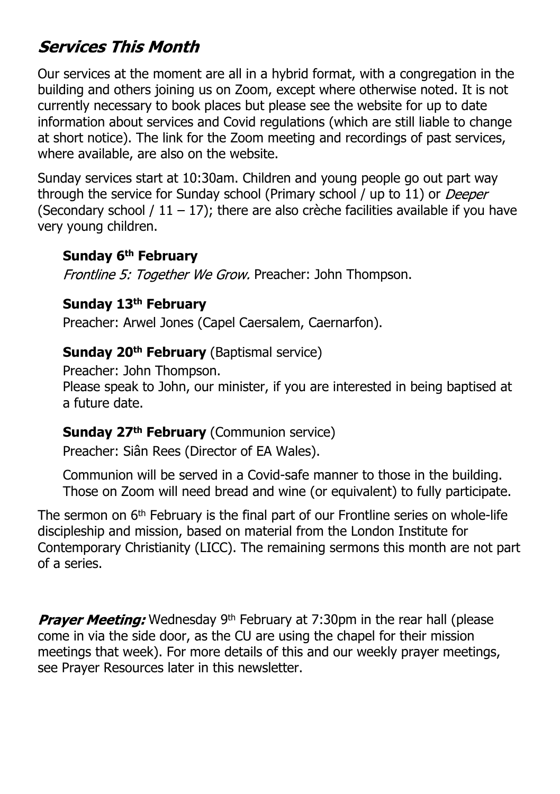## **Services This Month**

Our services at the moment are all in a hybrid format, with a congregation in the building and others joining us on Zoom, except where otherwise noted. It is not currently necessary to book places but please see the website for up to date information about services and Covid regulations (which are still liable to change at short notice). The link for the Zoom meeting and recordings of past services, where available, are also on the website.

Sunday services start at 10:30am. Children and young people go out part way through the service for Sunday school (Primary school / up to 11) or *Deeper* (Secondary school /  $11 - 17$ ); there are also crèche facilities available if you have very young children.

#### **Sunday 6th February**

Frontline 5: Together We Grow. Preacher: John Thompson.

#### **Sunday 13th February**

Preacher: Arwel Jones (Capel Caersalem, Caernarfon).

#### **Sunday 20th February** (Baptismal service)

Preacher: John Thompson. Please speak to John, our minister, if you are interested in being baptised at a future date.

#### **Sunday 27th February** (Communion service)

Preacher: Siân Rees (Director of EA Wales).

Communion will be served in a Covid-safe manner to those in the building. Those on Zoom will need bread and wine (or equivalent) to fully participate.

The sermon on 6th February is the final part of our Frontline series on whole-life discipleship and mission, based on material from the London Institute for Contemporary Christianity (LICC). The remaining sermons this month are not part of a series.

**Prayer Meeting:** Wednesday 9<sup>th</sup> February at 7:30pm in the rear hall (please come in via the side door, as the CU are using the chapel for their mission meetings that week). For more details of this and our weekly prayer meetings, see Prayer Resources later in this newsletter.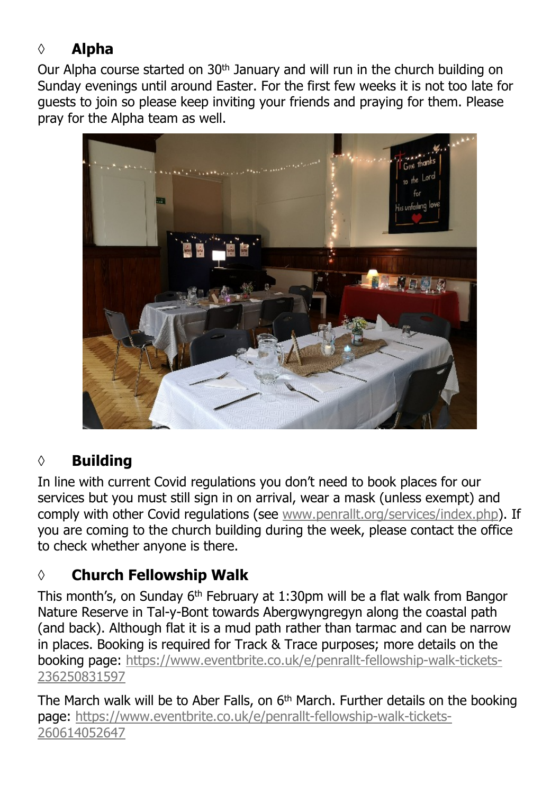# **◊ Alpha**

Our Alpha course started on  $30<sup>th</sup>$  January and will run in the church building on Sunday evenings until around Easter. For the first few weeks it is not too late for guests to join so please keep inviting your friends and praying for them. Please pray for the Alpha team as well.



#### **◊ Building**

In line with current Covid regulations you don't need to book places for our services but you must still sign in on arrival, wear a mask (unless exempt) and comply with other Covid requlations (see [www.penrallt.org/services/index.php\)](https://www.penrallt.org/services/index.php). If you are coming to the church building during the week, please contact the office to check whether anyone is there.

#### **◊ Church Fellowship Walk**

This month's, on Sunday  $6<sup>th</sup>$  February at 1:30pm will be a flat walk from Bangor Nature Reserve in Tal-y-Bont towards Abergwyngregyn along the coastal path (and back). Although flat it is a mud path rather than tarmac and can be narrow in places. Booking is required for Track & Trace purposes; more details on the booking page: [https://www.eventbrite.co.uk/e/penrallt-fellowship-walk-tickets-](https://www.eventbrite.co.uk/e/penrallt-fellowship-walk-tickets-236250831597)[236250831597](https://www.eventbrite.co.uk/e/penrallt-fellowship-walk-tickets-236250831597)

The March walk will be to Aber Falls, on 6<sup>th</sup> March. Further details on the booking page: [https://www.eventbrite.co.uk/e/penrallt-fellowship-walk-tickets-](https://www.eventbrite.co.uk/e/penrallt-fellowship-walk-tickets-260614052647)[260614052647](https://www.eventbrite.co.uk/e/penrallt-fellowship-walk-tickets-260614052647)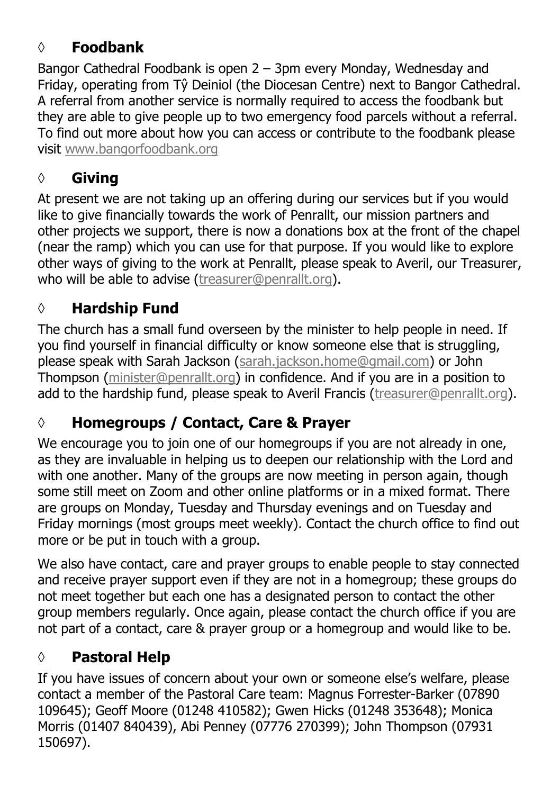### **◊ Foodbank**

Bangor Cathedral Foodbank is open 2 – 3pm every Monday, Wednesday and Friday, operating from Tŷ Deiniol (the Diocesan Centre) next to Bangor Cathedral. A referral from another service is normally required to access the foodbank but they are able to give people up to two emergency food parcels without a referral. To find out more about how you can access or contribute to the foodbank please visit [www.bangorfoodbank.org](https://www.bangorfoodbank.org)

### **◊ Giving**

At present we are not taking up an offering during our services but if you would like to give financially towards the work of Penrallt, our mission partners and other projects we support, there is now a donations box at the front of the chapel (near the ramp) which you can use for that purpose. If you would like to explore other ways of giving to the work at Penrallt, please speak to Averil, our Treasurer, who will be able to advise [\(treasurer@penrallt.org\)](mailto:treasurer@penrallt.org).

## **◊ Hardship Fund**

The church has a small fund overseen by the minister to help people in need. If you find yourself in financial difficulty or know someone else that is struggling, please speak with Sarah Jackson ([sarah.jackson.home@gmail.com](mailto:sarah.jackson.home@gmail.com)) or John Thompson ([minister@penrallt.org\)](mailto:minister@penrallt.org) in confidence. And if you are in a position to add to the hardship fund, please speak to Averil Francis ([treasurer@penrallt.org\)](mailto:treasurer@penrallt.org).

## **◊ Homegroups / Contact, Care & Prayer**

We encourage you to join one of our homegroups if you are not already in one, as they are invaluable in helping us to deepen our relationship with the Lord and with one another. Many of the groups are now meeting in person again, though some still meet on Zoom and other online platforms or in a mixed format. There are groups on Monday, Tuesday and Thursday evenings and on Tuesday and Friday mornings (most groups meet weekly). Contact the church office to find out more or be put in touch with a group.

We also have contact, care and prayer groups to enable people to stay connected and receive prayer support even if they are not in a homegroup; these groups do not meet together but each one has a designated person to contact the other group members regularly. Once again, please contact the church office if you are not part of a contact, care & prayer group or a homegroup and would like to be.

### **◊ Pastoral Help**

If you have issues of concern about your own or someone else's welfare, please contact a member of the Pastoral Care team: Magnus Forrester-Barker (07890 109645); Geoff Moore (01248 410582); Gwen Hicks (01248 353648); Monica Morris (01407 840439), Abi Penney (07776 270399); John Thompson (07931 150697).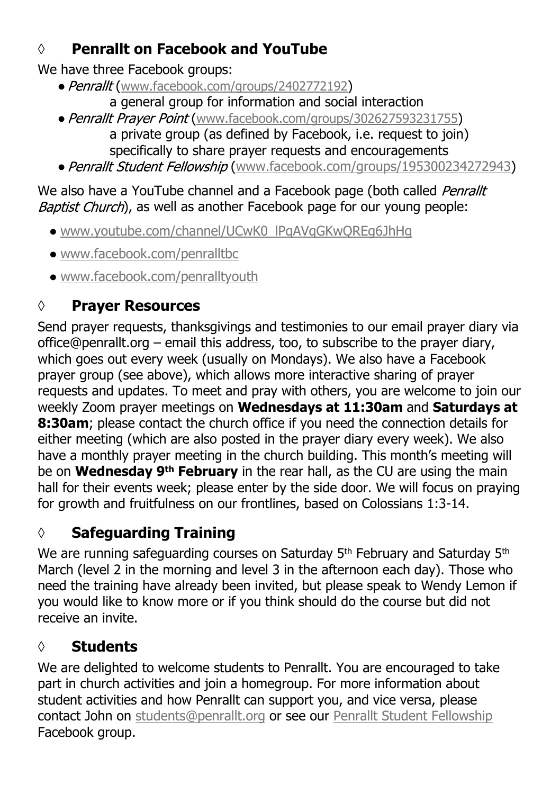## **◊ Penrallt on Facebook and YouTube**

We have three Facebook groups:

- Penrallt ([www.facebook.com/groups/2402772192](https://www.facebook.com/groups/2402772192))
	- a general group for information and social interaction
- Penrallt Prayer Point ([www.facebook.com/groups/302627593231755](https://www.facebook.com/groups/302627593231755)) a private group (as defined by Facebook, i.e. request to join) specifically to share prayer requests and encouragements
- Penrallt Student Fellowship ([www.facebook.com/groups/195300234272943](https://www.facebook.com/groups/195300234272943))

#### We also have a YouTube channel and a Facebook page (both called Penrallt Baptist Church), as well as another Facebook page for our young people:

- [www.youtube.com/channel/UCwK0\\_lPqAVqGKwQREg6JhHg](https://www.youtube.com/channel/UCwK0_lPqAVqGKwQREg6JhHg)
- [www.facebook.com/penralltbc](https://www.facebook.com/penralltbc)
- [www.facebook.com/penralltyouth](https://www.facebook.com/penralltyouth)

# **◊ Prayer Resources**

Send prayer requests, thanksgivings and testimonies to our email prayer diary via office@penrallt.org – email this address, too, to subscribe to the prayer diary, which goes out every week (usually on Mondays). We also have a Facebook prayer group (see above), which allows more interactive sharing of prayer requests and updates. To meet and pray with others, you are welcome to join our weekly Zoom prayer meetings on **Wednesdays at 11:30am** and **Saturdays at 8:30am**; please contact the church office if you need the connection details for either meeting (which are also posted in the prayer diary every week). We also have a monthly prayer meeting in the church building. This month's meeting will be on **Wednesday 9th February** in the rear hall, as the CU are using the main hall for their events week; please enter by the side door. We will focus on praying for growth and fruitfulness on our frontlines, based on Colossians 1:3-14.

# **◊ Safeguarding Training**

We are running safeguarding courses on Saturday  $5<sup>th</sup>$  February and Saturday  $5<sup>th</sup>$ March (level 2 in the morning and level 3 in the afternoon each day). Those who need the training have already been invited, but please speak to Wendy Lemon if you would like to know more or if you think should do the course but did not receive an invite.

# **◊ Students**

We are delighted to welcome students to Penrallt. You are encouraged to take part in church activities and join a homegroup. For more information about student activities and how Penrallt can support you, and vice versa, please contact John on [students@penrallt.org](mailto:students@penrallt.org) or see our [Penrallt Student Fellowship](https://www.facebook.com/groups/195300234272943) Facebook group.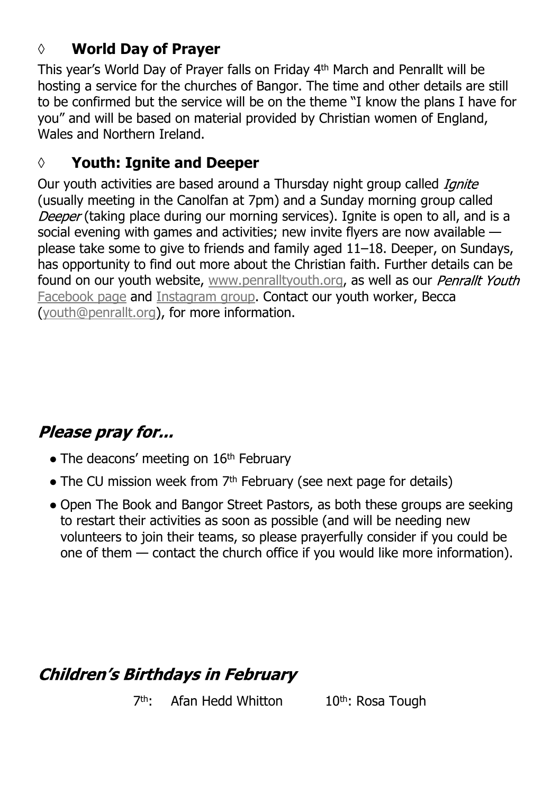### **◊ World Day of Prayer**

This year's World Day of Prayer falls on Friday 4th March and Penrallt will be hosting a service for the churches of Bangor. The time and other details are still to be confirmed but the service will be on the theme "I know the plans I have for you" and will be based on material provided by Christian women of England, Wales and Northern Ireland.

#### **◊ Youth: Ignite and Deeper**

Our youth activities are based around a Thursday night group called *Ignite* (usually meeting in the Canolfan at 7pm) and a Sunday morning group called Deeper (taking place during our morning services). Ignite is open to all, and is a social evening with games and activities; new invite flyers are now available please take some to give to friends and family aged 11–18. Deeper, on Sundays, has opportunity to find out more about the Christian faith. Further details can be found on our youth website, [www.penralltyouth.org](https://www.penralltyouth.org/), as well as our *Penrallt Youth* [Facebook page](https://www.facebook.com/penralltyouth) and [Instagram group](https://www.instagram.com/penralltyouth/). Contact our youth worker, Becca [\(youth@penrallt.org\)](mailto:youth@penrallt.org), for more information.

# Please pray for...

- $\bullet$  The deacons' meeting on 16<sup>th</sup> February
- The CU mission week from 7<sup>th</sup> February (see next page for details)
- Open The Book and Bangor Street Pastors, as both these groups are seeking to restart their activities as soon as possible (and will be needing new volunteers to join their teams, so please prayerfully consider if you could be one of them — contact the church office if you would like more information).

# **Children's Birthdays in February**

 $7th-$ Afan Hedd Whitton 10th: Rosa Tough